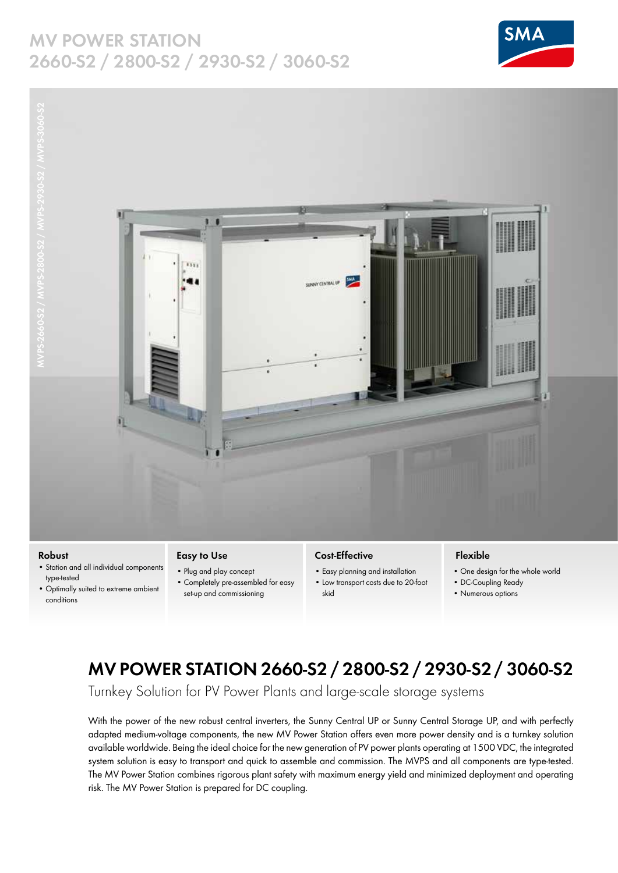### **MV POWER STATION 2660-S2 / 2800-S2 / 2930-S2 / 3060-S2**





#### **Robust**

- Station and all individual components type-tested
- Optimally suited to extreme ambient conditions

#### **Easy to Use**

- Plug and play concept • Completely pre-assembled for easy
- set-up and commissioning

#### **Cost-Effective**

SUNNY CINTAAL OF THE

- Easy planning and installation
- Low transport costs due to 20-foot skid

#### **Flexible**

- One design for the whole world
- DC-Coupling Ready
- Numerous options

## **MV POWER STATION 2660-S2 / 2800-S2 / 2930-S2 / 3060-S2**

Turnkey Solution for PV Power Plants and large-scale storage systems

With the power of the new robust central inverters, the Sunny Central UP or Sunny Central Storage UP, and with perfectly adapted medium-voltage components, the new MV Power Station offers even more power density and is a turnkey solution available worldwide. Being the ideal choice for the new generation of PV power plants operating at 1500 VDC, the integrated system solution is easy to transport and quick to assemble and commission. The MVPS and all components are type-tested. The MV Power Station combines rigorous plant safety with maximum energy yield and minimized deployment and operating risk. The MV Power Station is prepared for DC coupling.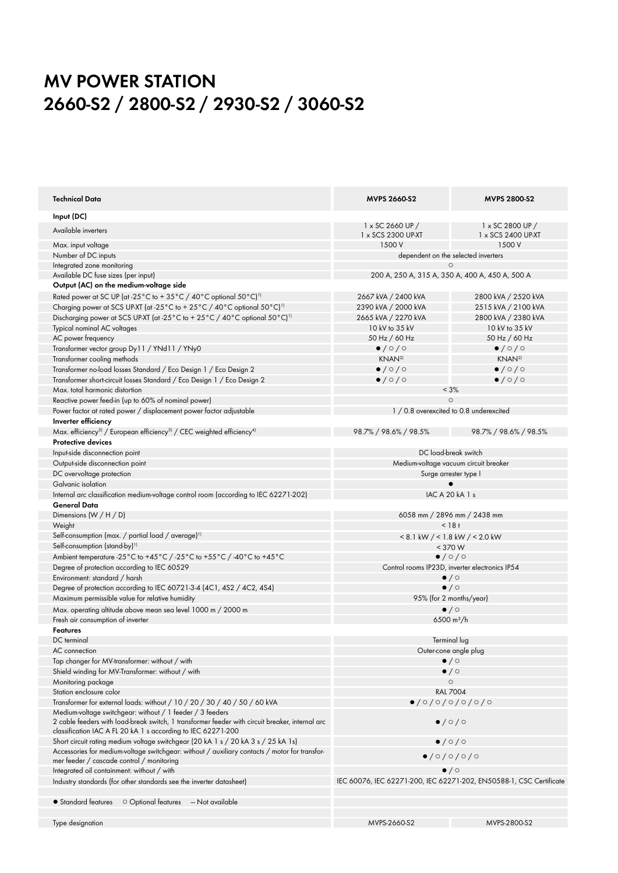# **MV POWER STATION 2660-S2 / 2800-S2 / 2930-S2 / 3060-S2**

| Technical Data                                                                                                                                                  | <b>MVPS 2660-S2</b>                                                 | <b>MVPS 2800-S2</b>           |
|-----------------------------------------------------------------------------------------------------------------------------------------------------------------|---------------------------------------------------------------------|-------------------------------|
| Input (DC)                                                                                                                                                      |                                                                     |                               |
| Available inverters                                                                                                                                             | 1 x SC 2660 UP /                                                    | 1 x SC 2800 UP /              |
|                                                                                                                                                                 | 1 x SCS 2300 UP-XT                                                  | 1 x SCS 2400 UP-XT            |
| Max. input voltage                                                                                                                                              | 1500 V                                                              | 1500 V                        |
| Number of DC inputs                                                                                                                                             | dependent on the selected inverters                                 |                               |
| Integrated zone monitoring                                                                                                                                      |                                                                     |                               |
| Available DC fuse sizes (per input)                                                                                                                             | 200 A, 250 A, 315 A, 350 A, 400 A, 450 A, 500 A                     |                               |
| Output (AC) on the medium-voltage side                                                                                                                          |                                                                     |                               |
| Rated power at SC UP (at -25°C to +35°C / 40°C optional 50°C) <sup>11</sup>                                                                                     | 2667 kVA / 2400 kVA                                                 | 2800 kVA / 2520 kVA           |
| Charging power at SCS UP-XT (at -25°C to +25°C / 40°C optional 50°C) <sup>1)</sup>                                                                              | 2390 kVA / 2000 kVA                                                 | 2515 kVA / 2100 kVA           |
| Discharging power at SCS UP-XT (at -25°C to +25°C /40°C optional 50°C) <sup>11</sup>                                                                            | 2665 kVA / 2270 kVA                                                 | 2800 kVA / 2380 kVA           |
| Typical nominal AC voltages                                                                                                                                     | 10 kV to 35 kV                                                      | 10 kV to 35 kV                |
| AC power frequency                                                                                                                                              | 50 Hz / 60 Hz                                                       | 50 Hz / 60 Hz                 |
| Transformer vector group Dy11 / YNd11 / YNy0                                                                                                                    | $\bullet$ / $\circ$ / $\circ$                                       | $\bullet$ / $\circ$ / $\circ$ |
| Transformer cooling methods                                                                                                                                     | KNAN <sup>2)</sup>                                                  | KNAN <sup>2</sup>             |
| Transformer no-load losses Standard / Eco Design 1 / Eco Design 2                                                                                               | $\bullet$ / $\circ$ / $\circ$                                       | $\bullet$ / $\circ$ / $\circ$ |
| Transformer short-circuit losses Standard / Eco Design 1 / Eco Design 2                                                                                         | $\bullet$ /0/0                                                      | $\bullet$ /0/0                |
| Max, total harmonic distortion                                                                                                                                  |                                                                     |                               |
|                                                                                                                                                                 | $< 3\%$<br>$\circ$                                                  |                               |
| Reactive power feed-in (up to 60% of nominal power)                                                                                                             |                                                                     |                               |
| Power factor at rated power / displacement power factor adjustable                                                                                              | 1 / 0.8 overexcited to 0.8 underexcited                             |                               |
| Inverter efficiency                                                                                                                                             |                                                                     |                               |
| Max. efficiency <sup>3)</sup> / European efficiency <sup>3)</sup> / CEC weighted efficiency <sup>4)</sup>                                                       | 98.7% / 98.6% / 98.5%                                               | 98.7% / 98.6% / 98.5%         |
| Protective devices                                                                                                                                              |                                                                     |                               |
| Input-side disconnection point                                                                                                                                  | DC load-break switch                                                |                               |
| Output-side disconnection point                                                                                                                                 | Medium-voltage vacuum circuit breaker                               |                               |
| DC overvoltage protection                                                                                                                                       | Surge arrester type I                                               |                               |
| Galvanic isolation                                                                                                                                              |                                                                     |                               |
| Internal arc classification medium-voltage control room (according to IEC 62271-202)                                                                            | IAC A 20 kA 1 s                                                     |                               |
| General Data                                                                                                                                                    |                                                                     |                               |
| Dimensions (W / H / D)                                                                                                                                          | 6058 mm / 2896 mm / 2438 mm                                         |                               |
| Weight                                                                                                                                                          | $< 18 +$                                                            |                               |
| Self-consumption (max. / partial load / average) <sup>11</sup>                                                                                                  | $< 8.1$ kW $/ < 1.8$ kW $/ < 2.0$ kW                                |                               |
| Self-consumption (stand-by) <sup>11</sup>                                                                                                                       | < 370 W                                                             |                               |
| Ambient temperature -25°C to +45°C / -25°C to +55°C / -40°C to +45°C                                                                                            | $\bullet$ /0/0                                                      |                               |
|                                                                                                                                                                 |                                                                     |                               |
| Degree of protection according to IEC 60529                                                                                                                     | Control rooms IP23D, inverter electronics IP54                      |                               |
| Environment: standard / harsh                                                                                                                                   | $\bullet$ / $\circ$                                                 |                               |
| Degree of protection according to IEC 60721-3-4 (4C1, 4S2 / 4C2, 4S4)                                                                                           | $\bullet$ / $\circ$                                                 |                               |
| Maximum permissible value for relative humidity                                                                                                                 | 95% (for 2 months/year)                                             |                               |
| Max. operating altitude above mean sea level 1000 m / 2000 m                                                                                                    | $\bullet$ / $\circ$                                                 |                               |
| Fresh air consumption of inverter                                                                                                                               | 6500 $m^3/h$                                                        |                               |
| <b>Features</b>                                                                                                                                                 |                                                                     |                               |
| DC terminal                                                                                                                                                     | Terminal lug                                                        |                               |
| AC connection                                                                                                                                                   | Outer-cone angle plug                                               |                               |
| Tap changer for MV-transformer: without / with                                                                                                                  | $\bullet$ / $\circ$                                                 |                               |
| Shield winding for MV-Transformer: without / with                                                                                                               | $\bullet$ / $\circ$                                                 |                               |
| Monitoring package                                                                                                                                              | $\circ$                                                             |                               |
| Station enclosure color                                                                                                                                         | <b>RAL 7004</b>                                                     |                               |
| Transformer for external loads: without / 10 / 20 / 30 / 40 / 50 / 60 kVA                                                                                       | $\bullet$ /0/0/0/0/0/0                                              |                               |
| Medium-voltage switchgear: without / 1 feeder / 3 feeders                                                                                                       |                                                                     |                               |
| 2 cable feeders with load-break switch, 1 transformer feeder with circuit breaker, internal arc<br>classification IAC A FL 20 kA 1 s according to IEC 62271-200 | $\bullet$ / $\circ$ / $\circ$                                       |                               |
| Short circuit rating medium voltage switchgear (20 kA 1 s / 20 kA 3 s / 25 kA 1s)                                                                               | $\bullet$ / $\circ$ / $\circ$                                       |                               |
| Accessories for medium-voltage switchgear: without / auxiliary contacts / motor for transfor-                                                                   |                                                                     |                               |
| mer feeder / cascade control / monitoring                                                                                                                       | $\bullet$ /0/0/0/0                                                  |                               |
| Integrated oil containment: without / with                                                                                                                      | $\bullet$ / $\circ$                                                 |                               |
|                                                                                                                                                                 |                                                                     |                               |
| Industry standards (for other standards see the inverter datasheet)                                                                                             | IEC 60076, IEC 62271-200, IEC 62271-202, EN50588-1, CSC Certificate |                               |
| $\circ$ Optional features $\quad$ - Not available<br>• Standard features                                                                                        |                                                                     |                               |
|                                                                                                                                                                 |                                                                     |                               |
| Type designation                                                                                                                                                | MVPS-2660-S2                                                        | MVPS-2800-S2                  |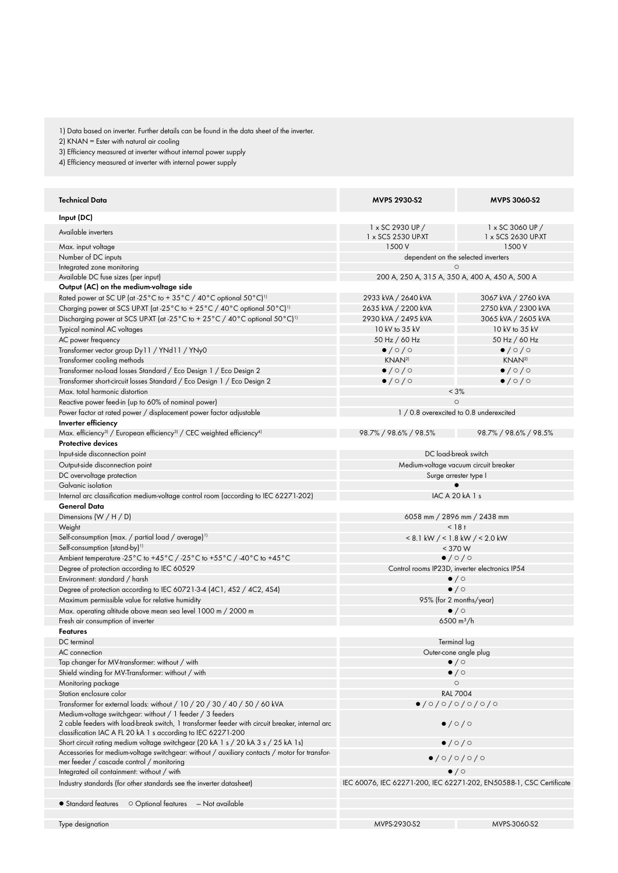1) Data based on inverter. Further details can be found in the data sheet of the inverter.

2) KNAN = Ester with natural air cooling

3) Efficiency measured at inverter without internal power supply

4) Efficiency measured at inverter with internal power supply

| <b>Technical Data</b>                                                                                                                                           | <b>MVPS 2930-S2</b>                             | MVPS 3060-S2                                                        |
|-----------------------------------------------------------------------------------------------------------------------------------------------------------------|-------------------------------------------------|---------------------------------------------------------------------|
| Input (DC)                                                                                                                                                      |                                                 |                                                                     |
| Available inverters                                                                                                                                             | 1 x SC 2930 UP /                                | 1 x SC 3060 UP /                                                    |
|                                                                                                                                                                 | 1 x SCS 2530 UP-XT                              | 1 x SCS 2630 UP-XT                                                  |
| Max. input voltage                                                                                                                                              | 1500 V                                          | 1500 V                                                              |
| Number of DC inputs<br>Integrated zone monitoring                                                                                                               | dependent on the selected inverters<br>$\circ$  |                                                                     |
| Available DC fuse sizes (per input)                                                                                                                             | 200 A, 250 A, 315 A, 350 A, 400 A, 450 A, 500 A |                                                                     |
| Output (AC) on the medium-voltage side                                                                                                                          |                                                 |                                                                     |
| Rated power at SC UP (at -25 $^{\circ}$ C to + 35 $^{\circ}$ C / 40 $^{\circ}$ C optional 50 $^{\circ}$ C) <sup>1)</sup>                                        | 2933 kVA / 2640 kVA                             | 3067 kVA / 2760 kVA                                                 |
| Charging power at SCS UP-XT (at -25°C to +25°C /40°C optional 50°C) <sup>11</sup>                                                                               | 2635 kVA / 2200 kVA                             | 2750 kVA / 2300 kVA                                                 |
| Discharging power at SCS UP-XT (at -25°C to +25°C /40°C optional 50°C) <sup>11</sup>                                                                            | 2930 kVA / 2495 kVA                             | 3065 kVA / 2605 kVA                                                 |
| Typical nominal AC voltages                                                                                                                                     | 10 kV to 35 kV                                  | 10 kV to 35 kV                                                      |
| AC power frequency                                                                                                                                              | 50 Hz / 60 Hz                                   | 50 Hz / 60 Hz                                                       |
| Transformer vector group Dy11 / YNd11 / YNy0                                                                                                                    | $\bullet$ / $\circ$ / $\circ$                   | $\bullet$ /0/0                                                      |
| Transformer cooling methods                                                                                                                                     | KNAN <sup>2)</sup>                              | KNAN <sup>2)</sup>                                                  |
| Transformer no-load losses Standard / Eco Design 1 / Eco Design 2                                                                                               | $\bullet$ /0/0                                  | $\bullet$ /0/0                                                      |
| Transformer short-circuit losses Standard / Eco Design 1 / Eco Design 2                                                                                         | $\bullet$ /0/0                                  | $\bullet$ /0/0                                                      |
| Max, total harmonic distortion                                                                                                                                  |                                                 | < 3%                                                                |
| Reactive power feed-in (up to 60% of nominal power)                                                                                                             | $\circ$                                         |                                                                     |
| Power factor at rated power / displacement power factor adjustable                                                                                              |                                                 | 1 / 0.8 overexcited to 0.8 underexcited                             |
| Inverter efficiency                                                                                                                                             |                                                 |                                                                     |
| Max. efficiency <sup>3)</sup> / European efficiency <sup>3)</sup> / CEC weighted efficiency <sup>4)</sup>                                                       | 98.7% / 98.6% / 98.5%                           | 98.7% / 98.6% / 98.5%                                               |
| <b>Protective devices</b>                                                                                                                                       |                                                 |                                                                     |
| Input-side disconnection point                                                                                                                                  | DC load-break switch                            |                                                                     |
| Output-side disconnection point                                                                                                                                 | Medium-voltage vacuum circuit breaker           |                                                                     |
| DC overvoltage protection                                                                                                                                       | Surge arrester type I                           |                                                                     |
| Galvanic isolation                                                                                                                                              |                                                 |                                                                     |
| Internal arc classification medium-voltage control room (according to IEC 62271-202)                                                                            |                                                 | IAC A 20 kA 1 s                                                     |
| General Data                                                                                                                                                    |                                                 |                                                                     |
| Dimensions $(W/H/D)$                                                                                                                                            | 6058 mm / 2896 mm / 2438 mm                     |                                                                     |
| Weight                                                                                                                                                          | $< 18 +$                                        |                                                                     |
| Self-consumption (max. / partial load / average) <sup>1)</sup>                                                                                                  | $< 8.1$ kW $/ < 1.8$ kW $/ < 2.0$ kW            |                                                                     |
| Self-consumption (stand-by) <sup>1)</sup>                                                                                                                       | $<$ 370 W                                       |                                                                     |
| Ambient temperature -25°C to +45°C / -25°C to +55°C / -40°C to +45°C                                                                                            | $\bullet$ /0/0                                  |                                                                     |
| Degree of protection according to IEC 60529                                                                                                                     | Control rooms IP23D, inverter electronics IP54  |                                                                     |
| Environment: standard / harsh                                                                                                                                   | $\bullet$ / $\circ$                             |                                                                     |
| Degree of protection according to IEC 60721-3-4 (4C1, 4S2 / 4C2, 4S4)                                                                                           | $\bullet$ / $\circ$                             |                                                                     |
| Maximum permissible value for relative humidity                                                                                                                 | 95% (for 2 months/year)                         |                                                                     |
| Max. operating altitude above mean sea level 1000 m / 2000 m                                                                                                    | $\bullet$ / $\circ$                             |                                                                     |
| Fresh air consumption of inverter                                                                                                                               |                                                 | 6500 $m^3/h$                                                        |
| <b>Features</b>                                                                                                                                                 |                                                 |                                                                     |
| DC terminal                                                                                                                                                     | Terminal lug                                    |                                                                     |
| AC connection                                                                                                                                                   | Outer-cone angle plug                           |                                                                     |
| Tap changer for MV-transformer: without / with                                                                                                                  | $\bullet$ / $\circ$                             |                                                                     |
| Shield winding for MV-Transformer: without / with                                                                                                               | $\bullet$ / $\circ$                             |                                                                     |
| Monitoring package<br>Station enclosure color                                                                                                                   | $\circ$<br><b>RAL 7004</b>                      |                                                                     |
| Transformer for external loads: without / 10 / 20 / 30 / 40 / 50 / 60 kVA                                                                                       | $\bullet$ /0/0/0/0/0/0                          |                                                                     |
| Medium-voltage switchgear: without / 1 feeder / 3 feeders                                                                                                       |                                                 |                                                                     |
| 2 cable feeders with load-break switch, 1 transformer feeder with circuit breaker, internal arc<br>classification IAC A FL 20 kA 1 s according to IEC 62271-200 |                                                 | $\bullet$ / $\circ$ / $\circ$                                       |
| Short circuit rating medium voltage switchgear (20 kA 1 s / 20 kA 3 s / 25 kA 1s)                                                                               | $\bullet$ /0/0                                  |                                                                     |
| Accessories for medium-voltage switchgear: without / auxiliary contacts / motor for transfor-<br>mer feeder / cascade control / monitoring                      | 0/0/0/0/0                                       |                                                                     |
| Integrated oil containment: without / with                                                                                                                      | $\bullet$ / $\circ$                             |                                                                     |
| Industry standards (for other standards see the inverter datasheet)                                                                                             |                                                 | IEC 60076, IEC 62271-200, IEC 62271-202, EN50588-1, CSC Certificate |
| O Optional features - Not available<br>• Standard features                                                                                                      |                                                 |                                                                     |
|                                                                                                                                                                 |                                                 |                                                                     |
| Type designation                                                                                                                                                | MVPS-2930-S2                                    | MVPS-3060-S2                                                        |